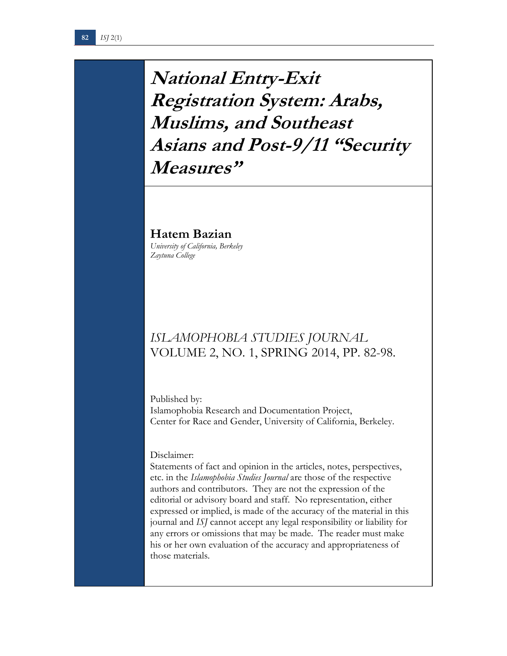# **National Entry-Exit Registration System: Arabs, Muslims, and Southeast Asians and Post-9/11 "Security Measures"**

## **Hatem Bazian**

*University of California, Berkeley Zaytuna College*

## *ISLAMOPHOBIA STUDIES JOURNAL* VOLUME 2, NO. 1, SPRING 2014, PP. 82-98.

Published by: Islamophobia Research and Documentation Project, Center for Race and Gender, University of California, Berkeley.

#### Disclaimer:

Statements of fact and opinion in the articles, notes, perspectives, etc. in the *Islamophobia Studies Journal* are those of the respective authors and contributors. They are not the expression of the editorial or advisory board and staff. No representation, either expressed or implied, is made of the accuracy of the material in this journal and *ISJ* cannot accept any legal responsibility or liability for any errors or omissions that may be made. The reader must make his or her own evaluation of the accuracy and appropriateness of those materials.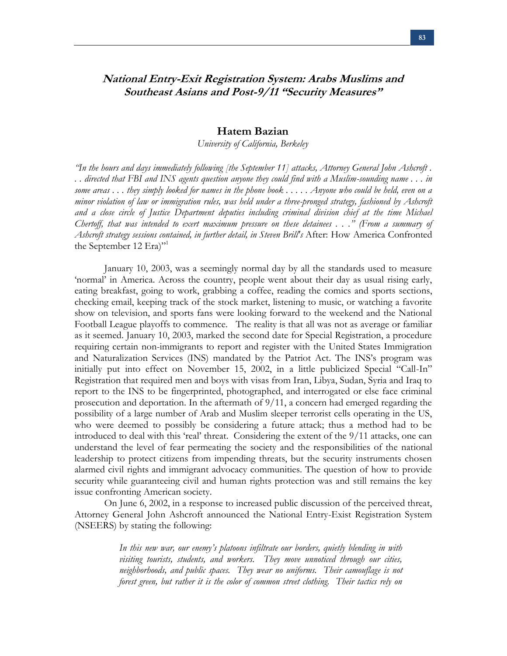## **National Entry-Exit Registration System: Arabs Muslims and Southeast Asians and Post-9/11 "Security Measures"**

## **Hatem Bazian**

*University of California, Berkeley*

*"In the hours and days immediately following [the September 11] attacks, Attorney General John Ashcroft . . . directed that FBI and INS agents question anyone they could find with a Muslim-sounding name . . . in some areas . . . they simply looked for names in the phone book . . . . . Anyone who could be held, even on a minor violation of law or immigration rules, was held under a three-pronged strategy, fashioned by Ashcroft and a close circle of Justice Department deputies including criminal division chief at the time Michael Chertoff, that was intended to exert maximum pressure on these detainees . . ." (From a summary of Ashcroft strategy sessions contained, in further detail, in Steven Brill's* After: How America Confronted the September 12 Era)"

January 10, 2003, was a seemingly normal day by all the standards used to measure 'normal' in America. Across the country, people went about their day as usual rising early, eating breakfast, going to work, grabbing a coffee, reading the comics and sports sections, checking email, keeping track of the stock market, listening to music, or watching a favorite show on television, and sports fans were looking forward to the weekend and the National Football League playoffs to commence. The reality is that all was not as average or familiar as it seemed. January 10, 2003, marked the second date for Special Registration, a procedure requiring certain non-immigrants to report and register with the United States Immigration and Naturalization Services (INS) mandated by the Patriot Act. The INS's program was initially put into effect on November 15, 2002, in a little publicized Special "Call-In" Registration that required men and boys with visas from Iran, Libya, Sudan, Syria and Iraq to report to the INS to be fingerprinted, photographed, and interrogated or else face criminal prosecution and deportation. In the aftermath of 9/11, a concern had emerged regarding the possibility of a large number of Arab and Muslim sleeper terrorist cells operating in the US, who were deemed to possibly be considering a future attack; thus a method had to be introduced to deal with this 'real' threat. Considering the extent of the  $9/11$  attacks, one can understand the level of fear permeating the society and the responsibilities of the national leadership to protect citizens from impending threats, but the security instruments chosen alarmed civil rights and immigrant advocacy communities. The question of how to provide security while guaranteeing civil and human rights protection was and still remains the key issue confronting American society.

On June 6, 2002, in a response to increased public discussion of the perceived threat, Attorney General John Ashcroft announced the National Entry-Exist Registration System (NSEERS) by stating the following:

> *In this new war, our enemy's platoons infiltrate our borders, quietly blending in with visiting tourists, students, and workers. They move unnoticed through our cities, neighborhoods, and public spaces. They wear no uniforms. Their camouflage is not forest green, but rather it is the color of common street clothing. Their tactics rely on*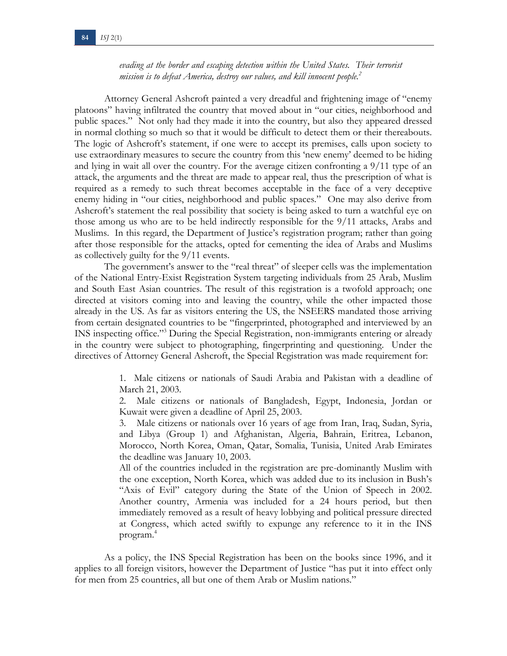*evading at the border and escaping detection within the United States. Their terrorist mission is to defeat America, destroy our values, and kill innocent people.2*

Attorney General Ashcroft painted a very dreadful and frightening image of "enemy platoons" having infiltrated the country that moved about in "our cities, neighborhood and public spaces." Not only had they made it into the country, but also they appeared dressed in normal clothing so much so that it would be difficult to detect them or their thereabouts. The logic of Ashcroft's statement, if one were to accept its premises, calls upon society to use extraordinary measures to secure the country from this 'new enemy' deemed to be hiding and lying in wait all over the country. For the average citizen confronting a 9/11 type of an attack, the arguments and the threat are made to appear real, thus the prescription of what is required as a remedy to such threat becomes acceptable in the face of a very deceptive enemy hiding in "our cities, neighborhood and public spaces." One may also derive from Ashcroft's statement the real possibility that society is being asked to turn a watchful eye on those among us who are to be held indirectly responsible for the 9/11 attacks, Arabs and Muslims. In this regard, the Department of Justice's registration program; rather than going after those responsible for the attacks, opted for cementing the idea of Arabs and Muslims as collectively guilty for the 9/11 events.

The government's answer to the "real threat" of sleeper cells was the implementation of the National Entry-Exist Registration System targeting individuals from 25 Arab, Muslim and South East Asian countries. The result of this registration is a twofold approach; one directed at visitors coming into and leaving the country, while the other impacted those already in the US. As far as visitors entering the US, the NSEERS mandated those arriving from certain designated countries to be "fingerprinted, photographed and interviewed by an INS inspecting office."<sup>3</sup> During the Special Registration, non-immigrants entering or already in the country were subject to photographing, fingerprinting and questioning. Under the directives of Attorney General Ashcroft, the Special Registration was made requirement for:

> 1. Male citizens or nationals of Saudi Arabia and Pakistan with a deadline of March 21, 2003.

> 2. Male citizens or nationals of Bangladesh, Egypt, Indonesia, Jordan or Kuwait were given a deadline of April 25, 2003.

> 3. Male citizens or nationals over 16 years of age from Iran, Iraq, Sudan, Syria, and Libya (Group 1) and Afghanistan, Algeria, Bahrain, Eritrea, Lebanon, Morocco, North Korea, Oman, Qatar, Somalia, Tunisia, United Arab Emirates the deadline was January 10, 2003.

> All of the countries included in the registration are pre-dominantly Muslim with the one exception, North Korea, which was added due to its inclusion in Bush's "Axis of Evil" category during the State of the Union of Speech in 2002. Another country, Armenia was included for a 24 hours period, but then immediately removed as a result of heavy lobbying and political pressure directed at Congress, which acted swiftly to expunge any reference to it in the INS program.4

As a policy, the INS Special Registration has been on the books since 1996, and it applies to all foreign visitors, however the Department of Justice "has put it into effect only for men from 25 countries, all but one of them Arab or Muslim nations."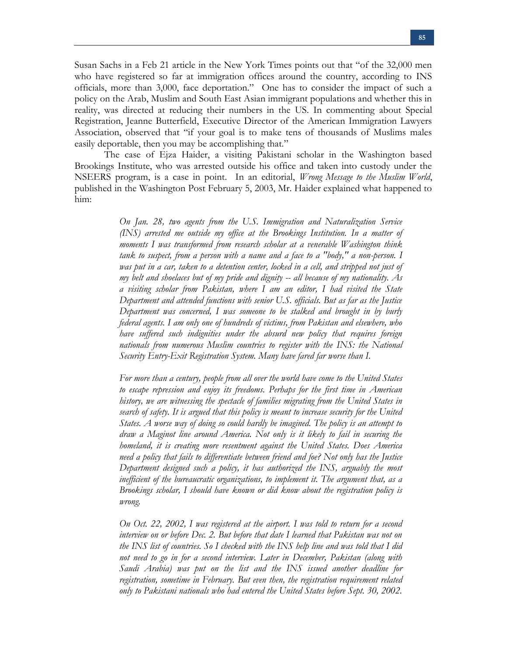Susan Sachs in a Feb 21 article in the New York Times points out that "of the 32,000 men who have registered so far at immigration offices around the country, according to INS officials, more than 3,000, face deportation." One has to consider the impact of such a policy on the Arab, Muslim and South East Asian immigrant populations and whether this in reality, was directed at reducing their numbers in the US. In commenting about Special Registration, Jeanne Butterfield, Executive Director of the American Immigration Lawyers Association, observed that "if your goal is to make tens of thousands of Muslims males easily deportable, then you may be accomplishing that."

The case of Ejza Haider, a visiting Pakistani scholar in the Washington based Brookings Institute, who was arrested outside his office and taken into custody under the NSEERS program, is a case in point. In an editorial, *Wrong Message to the Muslim World*, published in the Washington Post February 5, 2003, Mr. Haider explained what happened to him:

> *On Jan. 28, two agents from the U.S. Immigration and Naturalization Service (INS) arrested me outside my office at the Brookings Institution. In a matter of moments I was transformed from research scholar at a venerable Washington think tank to suspect, from a person with a name and a face to a "body," a non-person. I*  was put in a car, taken to a detention center, locked in a cell, and stripped not just of *my belt and shoelaces but of my pride and dignity -- all because of my nationality. As a visiting scholar from Pakistan, where I am an editor, I had visited the State Department and attended functions with senior U.S. officials. But as far as the Justice Department was concerned, I was someone to be stalked and brought in by burly federal agents. I am only one of hundreds of victims, from Pakistan and elsewhere, who have suffered such indignities under the absurd new policy that requires foreign nationals from numerous Muslim countries to register with the INS: the National Security Entry-Exit Registration System. Many have fared far worse than I.*

> *For more than a century, people from all over the world have come to the United States to escape repression and enjoy its freedoms. Perhaps for the first time in American history, we are witnessing the spectacle of families migrating from the United States in search of safety. It is argued that this policy is meant to increase security for the United States. A worse way of doing so could hardly be imagined. The policy is an attempt to draw a Maginot line around America. Not only is it likely to fail in securing the homeland, it is creating more resentment against the United States. Does America need a policy that fails to differentiate between friend and foe? Not only has the Justice Department designed such a policy, it has authorized the INS, arguably the most inefficient of the bureaucratic organizations, to implement it. The argument that, as a Brookings scholar, I should have known or did know about the registration policy is wrong.*

> *On Oct. 22, 2002, I was registered at the airport. I was told to return for a second interview on or before Dec. 2. But before that date I learned that Pakistan was not on the INS list of countries. So I checked with the INS help line and was told that I did not need to go in for a second interview. Later in December, Pakistan (along with Saudi Arabia) was put on the list and the INS issued another deadline for registration, sometime in February. But even then, the registration requirement related only to Pakistani nationals who had entered the United States before Sept. 30, 2002.*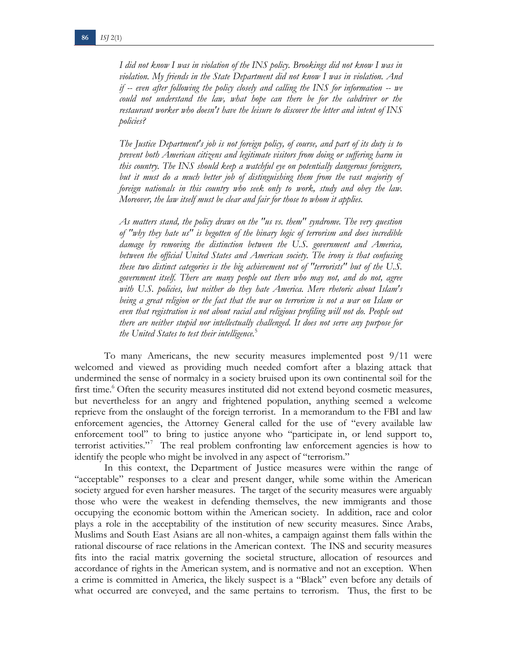*I did not know I was in violation of the INS policy. Brookings did not know I was in violation. My friends in the State Department did not know I was in violation. And if -- even after following the policy closely and calling the INS for information -- we could not understand the law, what hope can there be for the cabdriver or the restaurant worker who doesn't have the leisure to discover the letter and intent of INS policies?* 

*The Justice Department's job is not foreign policy, of course, and part of its duty is to prevent both American citizens and legitimate visitors from doing or suffering harm in this country. The INS should keep a watchful eye on potentially dangerous foreigners, but it must do a much better job of distinguishing them from the vast majority of foreign nationals in this country who seek only to work, study and obey the law. Moreover, the law itself must be clear and fair for those to whom it applies.* 

*As matters stand, the policy draws on the "us vs. them" syndrome. The very question of "why they hate us" is begotten of the binary logic of terrorism and does incredible damage by removing the distinction between the U.S. government and America, between the official United States and American society. The irony is that confusing these two distinct categories is the big achievement not of "terrorists" but of the U.S. government itself. There are many people out there who may not, and do not, agree with U.S. policies, but neither do they hate America. Mere rhetoric about Islam's being a great religion or the fact that the war on terrorism is not a war on Islam or even that registration is not about racial and religious profiling will not do. People out there are neither stupid nor intellectually challenged. It does not serve any purpose for the United States to test their intelligence.*<sup>5</sup>

To many Americans, the new security measures implemented post 9/11 were welcomed and viewed as providing much needed comfort after a blazing attack that undermined the sense of normalcy in a society bruised upon its own continental soil for the first time.<sup>6</sup> Often the security measures instituted did not extend beyond cosmetic measures, but nevertheless for an angry and frightened population, anything seemed a welcome reprieve from the onslaught of the foreign terrorist. In a memorandum to the FBI and law enforcement agencies, the Attorney General called for the use of "every available law enforcement tool" to bring to justice anyone who "participate in, or lend support to, terrorist activities."<sup>7</sup> The real problem confronting law enforcement agencies is how to identify the people who might be involved in any aspect of "terrorism."

In this context, the Department of Justice measures were within the range of "acceptable" responses to a clear and present danger, while some within the American society argued for even harsher measures. The target of the security measures were arguably those who were the weakest in defending themselves, the new immigrants and those occupying the economic bottom within the American society. In addition, race and color plays a role in the acceptability of the institution of new security measures. Since Arabs, Muslims and South East Asians are all non-whites, a campaign against them falls within the rational discourse of race relations in the American context. The INS and security measures fits into the racial matrix governing the societal structure, allocation of resources and accordance of rights in the American system, and is normative and not an exception. When a crime is committed in America, the likely suspect is a "Black" even before any details of what occurred are conveyed, and the same pertains to terrorism. Thus, the first to be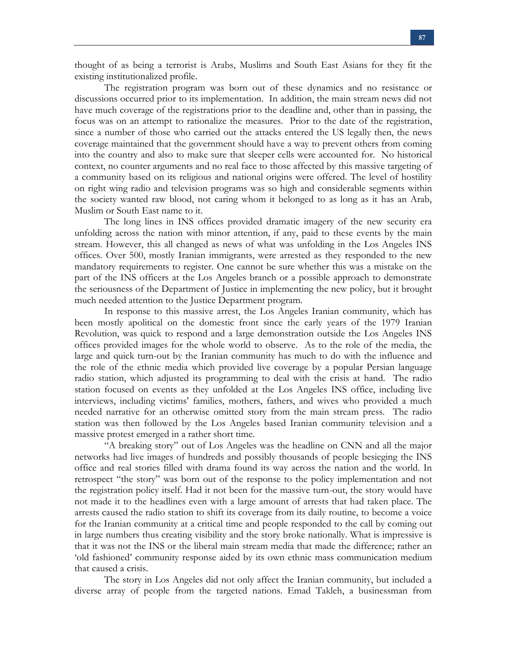thought of as being a terrorist is Arabs, Muslims and South East Asians for they fit the existing institutionalized profile.

The registration program was born out of these dynamics and no resistance or discussions occurred prior to its implementation. In addition, the main stream news did not have much coverage of the registrations prior to the deadline and, other than in passing, the focus was on an attempt to rationalize the measures. Prior to the date of the registration, since a number of those who carried out the attacks entered the US legally then, the news coverage maintained that the government should have a way to prevent others from coming into the country and also to make sure that sleeper cells were accounted for. No historical context, no counter arguments and no real face to those affected by this massive targeting of a community based on its religious and national origins were offered. The level of hostility on right wing radio and television programs was so high and considerable segments within the society wanted raw blood, not caring whom it belonged to as long as it has an Arab, Muslim or South East name to it.

The long lines in INS offices provided dramatic imagery of the new security era unfolding across the nation with minor attention, if any, paid to these events by the main stream. However, this all changed as news of what was unfolding in the Los Angeles INS offices. Over 500, mostly Iranian immigrants, were arrested as they responded to the new mandatory requirements to register. One cannot be sure whether this was a mistake on the part of the INS officers at the Los Angeles branch or a possible approach to demonstrate the seriousness of the Department of Justice in implementing the new policy, but it brought much needed attention to the Justice Department program.

In response to this massive arrest, the Los Angeles Iranian community, which has been mostly apolitical on the domestic front since the early years of the 1979 Iranian Revolution, was quick to respond and a large demonstration outside the Los Angeles INS offices provided images for the whole world to observe. As to the role of the media, the large and quick turn-out by the Iranian community has much to do with the influence and the role of the ethnic media which provided live coverage by a popular Persian language radio station, which adjusted its programming to deal with the crisis at hand. The radio station focused on events as they unfolded at the Los Angeles INS office, including live interviews, including victims' families, mothers, fathers, and wives who provided a much needed narrative for an otherwise omitted story from the main stream press. The radio station was then followed by the Los Angeles based Iranian community television and a massive protest emerged in a rather short time.

"A breaking story" out of Los Angeles was the headline on CNN and all the major networks had live images of hundreds and possibly thousands of people besieging the INS office and real stories filled with drama found its way across the nation and the world. In retrospect "the story" was born out of the response to the policy implementation and not the registration policy itself. Had it not been for the massive turn-out, the story would have not made it to the headlines even with a large amount of arrests that had taken place. The arrests caused the radio station to shift its coverage from its daily routine, to become a voice for the Iranian community at a critical time and people responded to the call by coming out in large numbers thus creating visibility and the story broke nationally. What is impressive is that it was not the INS or the liberal main stream media that made the difference; rather an 'old fashioned' community response aided by its own ethnic mass communication medium that caused a crisis.

The story in Los Angeles did not only affect the Iranian community, but included a diverse array of people from the targeted nations. Emad Takleh, a businessman from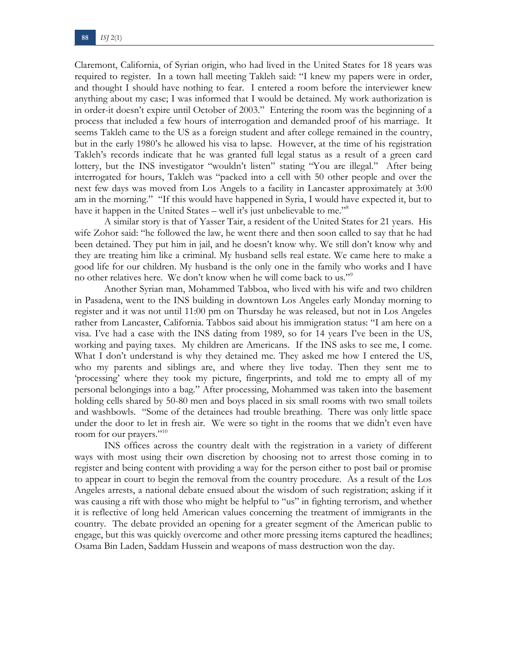

Claremont, California, of Syrian origin, who had lived in the United States for 18 years was required to register. In a town hall meeting Takleh said: "I knew my papers were in order, and thought I should have nothing to fear. I entered a room before the interviewer knew anything about my case; I was informed that I would be detained. My work authorization is in order-it doesn't expire until October of 2003." Entering the room was the beginning of a process that included a few hours of interrogation and demanded proof of his marriage. It seems Takleh came to the US as a foreign student and after college remained in the country, but in the early 1980's he allowed his visa to lapse. However, at the time of his registration Takleh's records indicate that he was granted full legal status as a result of a green card lottery, but the INS investigator "wouldn't listen" stating "You are illegal." After being interrogated for hours, Takleh was "packed into a cell with 50 other people and over the next few days was moved from Los Angels to a facility in Lancaster approximately at 3:00 am in the morning." "If this would have happened in Syria, I would have expected it, but to have it happen in the United States – well it's just unbelievable to me."<sup>8</sup>

A similar story is that of Yasser Tair, a resident of the United States for 21 years. His wife Zohor said: "he followed the law, he went there and then soon called to say that he had been detained. They put him in jail, and he doesn't know why. We still don't know why and they are treating him like a criminal. My husband sells real estate. We came here to make a good life for our children. My husband is the only one in the family who works and I have no other relatives here. We don't know when he will come back to us."<sup>9</sup>

Another Syrian man, Mohammed Tabboa, who lived with his wife and two children in Pasadena, went to the INS building in downtown Los Angeles early Monday morning to register and it was not until 11:00 pm on Thursday he was released, but not in Los Angeles rather from Lancaster, California. Tabbos said about his immigration status: "I am here on a visa. I've had a case with the INS dating from 1989, so for 14 years I've been in the US, working and paying taxes. My children are Americans. If the INS asks to see me, I come. What I don't understand is why they detained me. They asked me how I entered the US, who my parents and siblings are, and where they live today. Then they sent me to 'processing' where they took my picture, fingerprints, and told me to empty all of my personal belongings into a bag." After processing, Mohammed was taken into the basement holding cells shared by 50-80 men and boys placed in six small rooms with two small toilets and washbowls. "Some of the detainees had trouble breathing. There was only little space under the door to let in fresh air. We were so tight in the rooms that we didn't even have room for our prayers."<sup>10</sup>

INS offices across the country dealt with the registration in a variety of different ways with most using their own discretion by choosing not to arrest those coming in to register and being content with providing a way for the person either to post bail or promise to appear in court to begin the removal from the country procedure. As a result of the Los Angeles arrests, a national debate ensued about the wisdom of such registration; asking if it was causing a rift with those who might be helpful to "us" in fighting terrorism, and whether it is reflective of long held American values concerning the treatment of immigrants in the country. The debate provided an opening for a greater segment of the American public to engage, but this was quickly overcome and other more pressing items captured the headlines; Osama Bin Laden, Saddam Hussein and weapons of mass destruction won the day.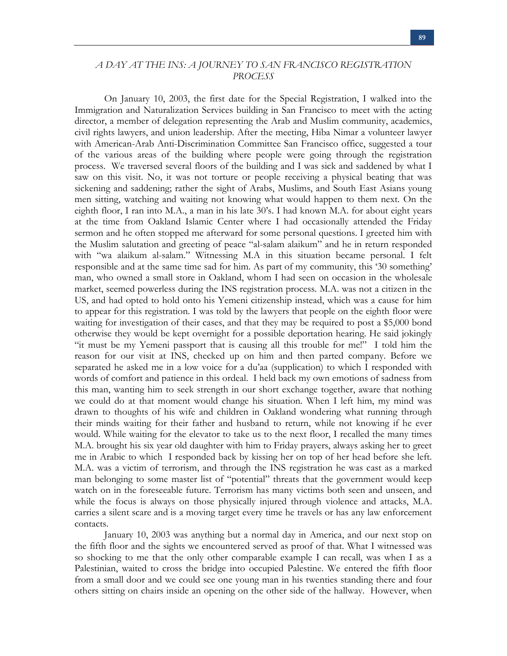### *A DAY AT THE INS: A JOURNEY TO SAN FRANCISCO REGISTRATION PROCESS*

On January 10, 2003, the first date for the Special Registration, I walked into the Immigration and Naturalization Services building in San Francisco to meet with the acting director, a member of delegation representing the Arab and Muslim community, academics, civil rights lawyers, and union leadership. After the meeting, Hiba Nimar a volunteer lawyer with American-Arab Anti-Discrimination Committee San Francisco office, suggested a tour of the various areas of the building where people were going through the registration process. We traversed several floors of the building and I was sick and saddened by what I saw on this visit. No, it was not torture or people receiving a physical beating that was sickening and saddening; rather the sight of Arabs, Muslims, and South East Asians young men sitting, watching and waiting not knowing what would happen to them next. On the eighth floor, I ran into M.A., a man in his late 30's. I had known M.A. for about eight years at the time from Oakland Islamic Center where I had occasionally attended the Friday sermon and he often stopped me afterward for some personal questions. I greeted him with the Muslim salutation and greeting of peace "al-salam alaikum" and he in return responded with "wa alaikum al-salam." Witnessing M.A in this situation became personal. I felt responsible and at the same time sad for him. As part of my community, this '30 something' man, who owned a small store in Oakland, whom I had seen on occasion in the wholesale market, seemed powerless during the INS registration process. M.A. was not a citizen in the US, and had opted to hold onto his Yemeni citizenship instead, which was a cause for him to appear for this registration. I was told by the lawyers that people on the eighth floor were waiting for investigation of their cases, and that they may be required to post a \$5,000 bond otherwise they would be kept overnight for a possible deportation hearing. He said jokingly "it must be my Yemeni passport that is causing all this trouble for me!" I told him the reason for our visit at INS, checked up on him and then parted company. Before we separated he asked me in a low voice for a du'aa (supplication) to which I responded with words of comfort and patience in this ordeal. I held back my own emotions of sadness from this man, wanting him to seek strength in our short exchange together, aware that nothing we could do at that moment would change his situation. When I left him, my mind was drawn to thoughts of his wife and children in Oakland wondering what running through their minds waiting for their father and husband to return, while not knowing if he ever would. While waiting for the elevator to take us to the next floor, I recalled the many times M.A. brought his six year old daughter with him to Friday prayers, always asking her to greet me in Arabic to which I responded back by kissing her on top of her head before she left. M.A. was a victim of terrorism, and through the INS registration he was cast as a marked man belonging to some master list of "potential" threats that the government would keep watch on in the foreseeable future. Terrorism has many victims both seen and unseen, and while the focus is always on those physically injured through violence and attacks, M.A. carries a silent scare and is a moving target every time he travels or has any law enforcement contacts.

January 10, 2003 was anything but a normal day in America, and our next stop on the fifth floor and the sights we encountered served as proof of that. What I witnessed was so shocking to me that the only other comparable example I can recall, was when I as a Palestinian, waited to cross the bridge into occupied Palestine. We entered the fifth floor from a small door and we could see one young man in his twenties standing there and four others sitting on chairs inside an opening on the other side of the hallway. However, when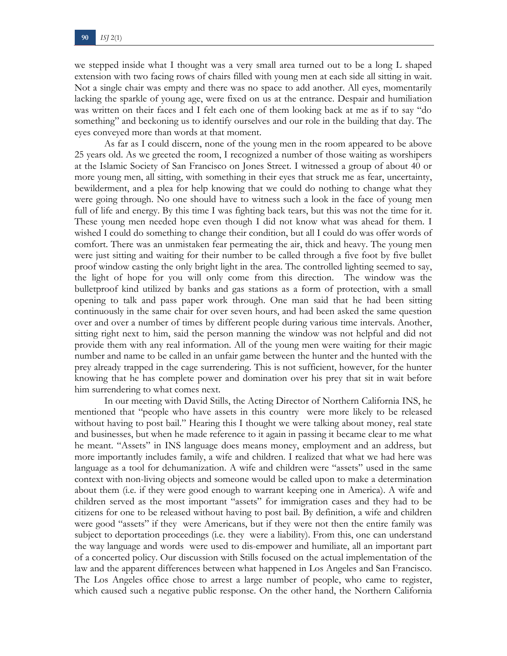we stepped inside what I thought was a very small area turned out to be a long L shaped extension with two facing rows of chairs filled with young men at each side all sitting in wait. Not a single chair was empty and there was no space to add another. All eyes, momentarily lacking the sparkle of young age, were fixed on us at the entrance. Despair and humiliation was written on their faces and I felt each one of them looking back at me as if to say "do something" and beckoning us to identify ourselves and our role in the building that day. The eyes conveyed more than words at that moment.

As far as I could discern, none of the young men in the room appeared to be above 25 years old. As we greeted the room, I recognized a number of those waiting as worshipers at the Islamic Society of San Francisco on Jones Street. I witnessed a group of about 40 or more young men, all sitting, with something in their eyes that struck me as fear, uncertainty, bewilderment, and a plea for help knowing that we could do nothing to change what they were going through. No one should have to witness such a look in the face of young men full of life and energy. By this time I was fighting back tears, but this was not the time for it. These young men needed hope even though I did not know what was ahead for them. I wished I could do something to change their condition, but all I could do was offer words of comfort. There was an unmistaken fear permeating the air, thick and heavy. The young men were just sitting and waiting for their number to be called through a five foot by five bullet proof window casting the only bright light in the area. The controlled lighting seemed to say, the light of hope for you will only come from this direction. The window was the bulletproof kind utilized by banks and gas stations as a form of protection, with a small opening to talk and pass paper work through. One man said that he had been sitting continuously in the same chair for over seven hours, and had been asked the same question over and over a number of times by different people during various time intervals. Another, sitting right next to him, said the person manning the window was not helpful and did not provide them with any real information. All of the young men were waiting for their magic number and name to be called in an unfair game between the hunter and the hunted with the prey already trapped in the cage surrendering. This is not sufficient, however, for the hunter knowing that he has complete power and domination over his prey that sit in wait before him surrendering to what comes next.

In our meeting with David Stills, the Acting Director of Northern California INS, he mentioned that "people who have assets in this country were more likely to be released without having to post bail." Hearing this I thought we were talking about money, real state and businesses, but when he made reference to it again in passing it became clear to me what he meant. "Assets" in INS language does means money, employment and an address, but more importantly includes family, a wife and children. I realized that what we had here was language as a tool for dehumanization. A wife and children were "assets" used in the same context with non-living objects and someone would be called upon to make a determination about them (i.e. if they were good enough to warrant keeping one in America). A wife and children served as the most important "assets" for immigration cases and they had to be citizens for one to be released without having to post bail. By definition, a wife and children were good "assets" if they were Americans, but if they were not then the entire family was subject to deportation proceedings (i.e. they were a liability). From this, one can understand the way language and words were used to dis-empower and humiliate, all an important part of a concerted policy. Our discussion with Stills focused on the actual implementation of the law and the apparent differences between what happened in Los Angeles and San Francisco. The Los Angeles office chose to arrest a large number of people, who came to register, which caused such a negative public response. On the other hand, the Northern California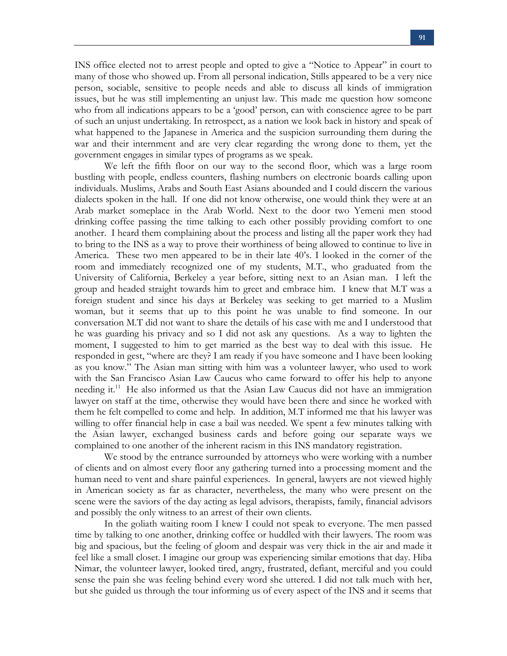INS office elected not to arrest people and opted to give a "Notice to Appear" in court to many of those who showed up. From all personal indication, Stills appeared to be a very nice person, sociable, sensitive to people needs and able to discuss all kinds of immigration issues, but he was still implementing an unjust law. This made me question how someone who from all indications appears to be a 'good' person, can with conscience agree to be part of such an unjust undertaking. In retrospect, as a nation we look back in history and speak of what happened to the Japanese in America and the suspicion surrounding them during the war and their internment and are very clear regarding the wrong done to them, yet the government engages in similar types of programs as we speak.

We left the fifth floor on our way to the second floor, which was a large room bustling with people, endless counters, flashing numbers on electronic boards calling upon individuals. Muslims, Arabs and South East Asians abounded and I could discern the various dialects spoken in the hall. If one did not know otherwise, one would think they were at an Arab market someplace in the Arab World. Next to the door two Yemeni men stood drinking coffee passing the time talking to each other possibly providing comfort to one another. I heard them complaining about the process and listing all the paper work they had to bring to the INS as a way to prove their worthiness of being allowed to continue to live in America. These two men appeared to be in their late 40's. I looked in the corner of the room and immediately recognized one of my students, M.T., who graduated from the University of California, Berkeley a year before, sitting next to an Asian man. I left the group and headed straight towards him to greet and embrace him. I knew that M.T was a foreign student and since his days at Berkeley was seeking to get married to a Muslim woman, but it seems that up to this point he was unable to find someone. In our conversation M.T did not want to share the details of his case with me and I understood that he was guarding his privacy and so I did not ask any questions. As a way to lighten the moment, I suggested to him to get married as the best way to deal with this issue. He responded in gest, "where are they? I am ready if you have someone and I have been looking as you know." The Asian man sitting with him was a volunteer lawyer, who used to work with the San Francisco Asian Law Caucus who came forward to offer his help to anyone needing it.<sup>11</sup> He also informed us that the Asian Law Caucus did not have an immigration lawyer on staff at the time, otherwise they would have been there and since he worked with them he felt compelled to come and help. In addition, M.T informed me that his lawyer was willing to offer financial help in case a bail was needed. We spent a few minutes talking with the Asian lawyer, exchanged business cards and before going our separate ways we complained to one another of the inherent racism in this INS mandatory registration.

We stood by the entrance surrounded by attorneys who were working with a number of clients and on almost every floor any gathering turned into a processing moment and the human need to vent and share painful experiences. In general, lawyers are not viewed highly in American society as far as character, nevertheless, the many who were present on the scene were the saviors of the day acting as legal advisors, therapists, family, financial advisors and possibly the only witness to an arrest of their own clients.

In the goliath waiting room I knew I could not speak to everyone. The men passed time by talking to one another, drinking coffee or huddled with their lawyers. The room was big and spacious, but the feeling of gloom and despair was very thick in the air and made it feel like a small closet. I imagine our group was experiencing similar emotions that day. Hiba Nimar, the volunteer lawyer, looked tired, angry, frustrated, defiant, merciful and you could sense the pain she was feeling behind every word she uttered. I did not talk much with her, but she guided us through the tour informing us of every aspect of the INS and it seems that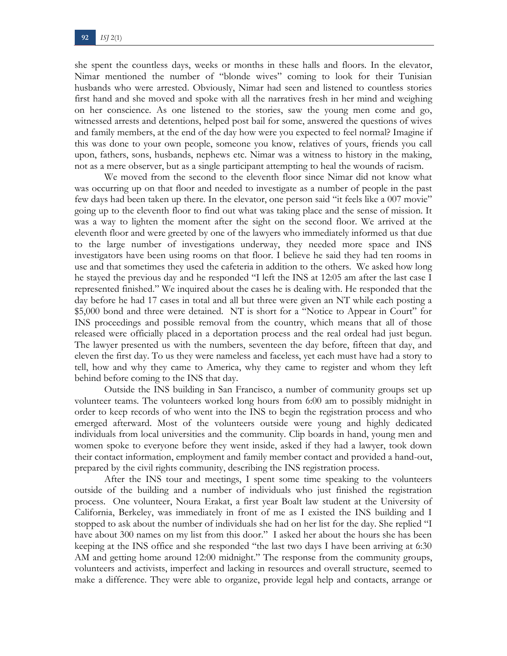

she spent the countless days, weeks or months in these halls and floors. In the elevator, Nimar mentioned the number of "blonde wives" coming to look for their Tunisian husbands who were arrested. Obviously, Nimar had seen and listened to countless stories first hand and she moved and spoke with all the narratives fresh in her mind and weighing on her conscience. As one listened to the stories, saw the young men come and go, witnessed arrests and detentions, helped post bail for some, answered the questions of wives and family members, at the end of the day how were you expected to feel normal? Imagine if this was done to your own people, someone you know, relatives of yours, friends you call upon, fathers, sons, husbands, nephews etc. Nimar was a witness to history in the making, not as a mere observer, but as a single participant attempting to heal the wounds of racism.

We moved from the second to the eleventh floor since Nimar did not know what was occurring up on that floor and needed to investigate as a number of people in the past few days had been taken up there. In the elevator, one person said "it feels like a 007 movie" going up to the eleventh floor to find out what was taking place and the sense of mission. It was a way to lighten the moment after the sight on the second floor. We arrived at the eleventh floor and were greeted by one of the lawyers who immediately informed us that due to the large number of investigations underway, they needed more space and INS investigators have been using rooms on that floor. I believe he said they had ten rooms in use and that sometimes they used the cafeteria in addition to the others. We asked how long he stayed the previous day and he responded "I left the INS at 12:05 am after the last case I represented finished." We inquired about the cases he is dealing with. He responded that the day before he had 17 cases in total and all but three were given an NT while each posting a \$5,000 bond and three were detained. NT is short for a "Notice to Appear in Court" for INS proceedings and possible removal from the country, which means that all of those released were officially placed in a deportation process and the real ordeal had just begun. The lawyer presented us with the numbers, seventeen the day before, fifteen that day, and eleven the first day. To us they were nameless and faceless, yet each must have had a story to tell, how and why they came to America, why they came to register and whom they left behind before coming to the INS that day.

Outside the INS building in San Francisco, a number of community groups set up volunteer teams. The volunteers worked long hours from 6:00 am to possibly midnight in order to keep records of who went into the INS to begin the registration process and who emerged afterward. Most of the volunteers outside were young and highly dedicated individuals from local universities and the community. Clip boards in hand, young men and women spoke to everyone before they went inside, asked if they had a lawyer, took down their contact information, employment and family member contact and provided a hand-out, prepared by the civil rights community, describing the INS registration process.

After the INS tour and meetings, I spent some time speaking to the volunteers outside of the building and a number of individuals who just finished the registration process. One volunteer, Noura Erakat, a first year Boalt law student at the University of California, Berkeley, was immediately in front of me as I existed the INS building and I stopped to ask about the number of individuals she had on her list for the day. She replied "I have about 300 names on my list from this door." I asked her about the hours she has been keeping at the INS office and she responded "the last two days I have been arriving at 6:30 AM and getting home around 12:00 midnight." The response from the community groups, volunteers and activists, imperfect and lacking in resources and overall structure, seemed to make a difference. They were able to organize, provide legal help and contacts, arrange or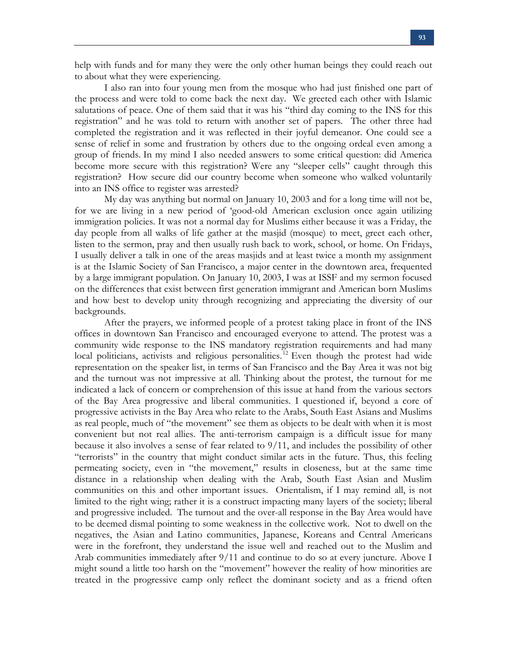help with funds and for many they were the only other human beings they could reach out to about what they were experiencing.

I also ran into four young men from the mosque who had just finished one part of the process and were told to come back the next day. We greeted each other with Islamic salutations of peace. One of them said that it was his "third day coming to the INS for this registration" and he was told to return with another set of papers. The other three had completed the registration and it was reflected in their joyful demeanor. One could see a sense of relief in some and frustration by others due to the ongoing ordeal even among a group of friends. In my mind I also needed answers to some critical question: did America become more secure with this registration? Were any "sleeper cells" caught through this registration? How secure did our country become when someone who walked voluntarily into an INS office to register was arrested?

My day was anything but normal on January 10, 2003 and for a long time will not be, for we are living in a new period of 'good-old American exclusion once again utilizing immigration policies. It was not a normal day for Muslims either because it was a Friday, the day people from all walks of life gather at the masjid (mosque) to meet, greet each other, listen to the sermon, pray and then usually rush back to work, school, or home. On Fridays, I usually deliver a talk in one of the areas masjids and at least twice a month my assignment is at the Islamic Society of San Francisco, a major center in the downtown area, frequented by a large immigrant population. On January 10, 2003, I was at ISSF and my sermon focused on the differences that exist between first generation immigrant and American born Muslims and how best to develop unity through recognizing and appreciating the diversity of our backgrounds.

After the prayers, we informed people of a protest taking place in front of the INS offices in downtown San Francisco and encouraged everyone to attend. The protest was a community wide response to the INS mandatory registration requirements and had many local politicians, activists and religious personalities.<sup>12</sup> Even though the protest had wide representation on the speaker list, in terms of San Francisco and the Bay Area it was not big and the turnout was not impressive at all. Thinking about the protest, the turnout for me indicated a lack of concern or comprehension of this issue at hand from the various sectors of the Bay Area progressive and liberal communities. I questioned if, beyond a core of progressive activists in the Bay Area who relate to the Arabs, South East Asians and Muslims as real people, much of "the movement" see them as objects to be dealt with when it is most convenient but not real allies. The anti-terrorism campaign is a difficult issue for many because it also involves a sense of fear related to 9/11, and includes the possibility of other "terrorists" in the country that might conduct similar acts in the future. Thus, this feeling permeating society, even in "the movement," results in closeness, but at the same time distance in a relationship when dealing with the Arab, South East Asian and Muslim communities on this and other important issues. Orientalism, if I may remind all, is not limited to the right wing; rather it is a construct impacting many layers of the society; liberal and progressive included. The turnout and the over-all response in the Bay Area would have to be deemed dismal pointing to some weakness in the collective work. Not to dwell on the negatives, the Asian and Latino communities, Japanese, Koreans and Central Americans were in the forefront, they understand the issue well and reached out to the Muslim and Arab communities immediately after 9/11 and continue to do so at every juncture. Above I might sound a little too harsh on the "movement" however the reality of how minorities are treated in the progressive camp only reflect the dominant society and as a friend often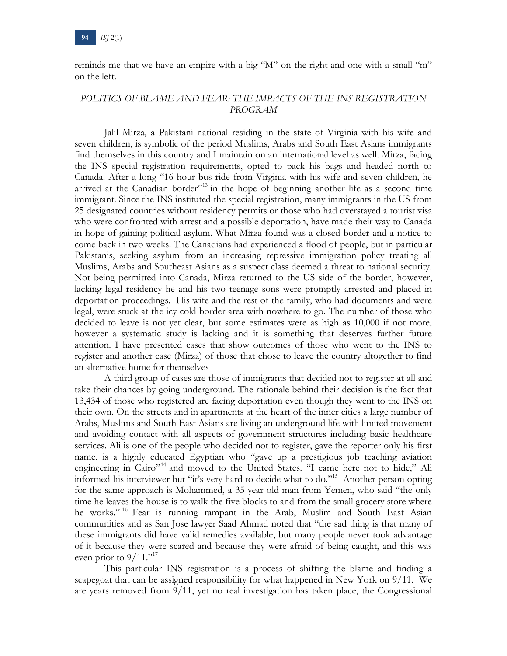reminds me that we have an empire with a big "M" on the right and one with a small "m" on the left.

## POLITICS OF BLAME AND FEAR: THE IMPACTS OF THE INS REGISTRATION *PROGRAM*

Jalil Mirza, a Pakistani national residing in the state of Virginia with his wife and seven children, is symbolic of the period Muslims, Arabs and South East Asians immigrants find themselves in this country and I maintain on an international level as well. Mirza, facing the INS special registration requirements, opted to pack his bags and headed north to Canada. After a long "16 hour bus ride from Virginia with his wife and seven children, he arrived at the Canadian border<sup> $13$ </sup> in the hope of beginning another life as a second time immigrant. Since the INS instituted the special registration, many immigrants in the US from 25 designated countries without residency permits or those who had overstayed a tourist visa who were confronted with arrest and a possible deportation, have made their way to Canada in hope of gaining political asylum. What Mirza found was a closed border and a notice to come back in two weeks. The Canadians had experienced a flood of people, but in particular Pakistanis, seeking asylum from an increasing repressive immigration policy treating all Muslims, Arabs and Southeast Asians as a suspect class deemed a threat to national security. Not being permitted into Canada, Mirza returned to the US side of the border, however, lacking legal residency he and his two teenage sons were promptly arrested and placed in deportation proceedings. His wife and the rest of the family, who had documents and were legal, were stuck at the icy cold border area with nowhere to go. The number of those who decided to leave is not yet clear, but some estimates were as high as 10,000 if not more, however a systematic study is lacking and it is something that deserves further future attention. I have presented cases that show outcomes of those who went to the INS to register and another case (Mirza) of those that chose to leave the country altogether to find an alternative home for themselves

A third group of cases are those of immigrants that decided not to register at all and take their chances by going underground. The rationale behind their decision is the fact that 13,434 of those who registered are facing deportation even though they went to the INS on their own. On the streets and in apartments at the heart of the inner cities a large number of Arabs, Muslims and South East Asians are living an underground life with limited movement and avoiding contact with all aspects of government structures including basic healthcare services. Ali is one of the people who decided not to register, gave the reporter only his first name, is a highly educated Egyptian who "gave up a prestigious job teaching aviation engineering in Cairo"<sup>14</sup> and moved to the United States. "I came here not to hide," Ali informed his interviewer but "it's very hard to decide what to do."<sup>15</sup> Another person opting for the same approach is Mohammed, a 35 year old man from Yemen, who said "the only time he leaves the house is to walk the five blocks to and from the small grocery store where he works." <sup>16</sup> Fear is running rampant in the Arab, Muslim and South East Asian communities and as San Jose lawyer Saad Ahmad noted that "the sad thing is that many of these immigrants did have valid remedies available, but many people never took advantage of it because they were scared and because they were afraid of being caught, and this was even prior to  $9/11$ ."

This particular INS registration is a process of shifting the blame and finding a scapegoat that can be assigned responsibility for what happened in New York on 9/11. We are years removed from 9/11, yet no real investigation has taken place, the Congressional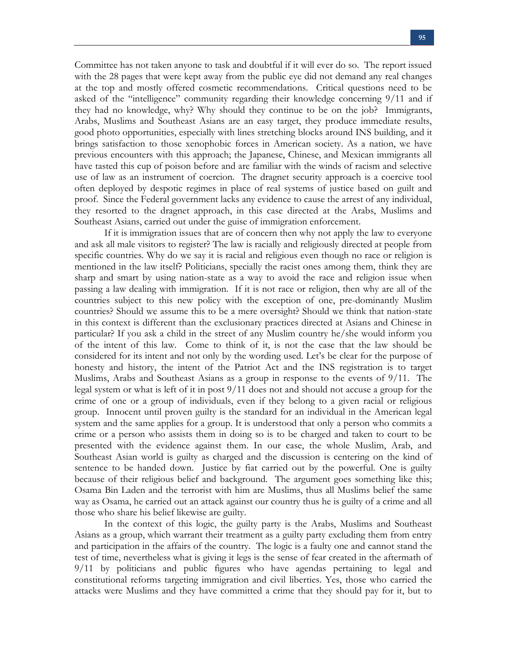**95**

Committee has not taken anyone to task and doubtful if it will ever do so. The report issued with the 28 pages that were kept away from the public eye did not demand any real changes at the top and mostly offered cosmetic recommendations. Critical questions need to be asked of the "intelligence" community regarding their knowledge concerning 9/11 and if they had no knowledge, why? Why should they continue to be on the job? Immigrants, Arabs, Muslims and Southeast Asians are an easy target, they produce immediate results, good photo opportunities, especially with lines stretching blocks around INS building, and it brings satisfaction to those xenophobic forces in American society. As a nation, we have previous encounters with this approach; the Japanese, Chinese, and Mexican immigrants all have tasted this cup of poison before and are familiar with the winds of racism and selective use of law as an instrument of coercion. The dragnet security approach is a coercive tool often deployed by despotic regimes in place of real systems of justice based on guilt and proof. Since the Federal government lacks any evidence to cause the arrest of any individual, they resorted to the dragnet approach, in this case directed at the Arabs, Muslims and Southeast Asians, carried out under the guise of immigration enforcement.

If it is immigration issues that are of concern then why not apply the law to everyone and ask all male visitors to register? The law is racially and religiously directed at people from specific countries. Why do we say it is racial and religious even though no race or religion is mentioned in the law itself? Politicians, specially the racist ones among them, think they are sharp and smart by using nation-state as a way to avoid the race and religion issue when passing a law dealing with immigration. If it is not race or religion, then why are all of the countries subject to this new policy with the exception of one, pre-dominantly Muslim countries? Should we assume this to be a mere oversight? Should we think that nation-state in this context is different than the exclusionary practices directed at Asians and Chinese in particular? If you ask a child in the street of any Muslim country he/she would inform you of the intent of this law. Come to think of it, is not the case that the law should be considered for its intent and not only by the wording used. Let's be clear for the purpose of honesty and history, the intent of the Patriot Act and the INS registration is to target Muslims, Arabs and Southeast Asians as a group in response to the events of 9/11. The legal system or what is left of it in post 9/11 does not and should not accuse a group for the crime of one or a group of individuals, even if they belong to a given racial or religious group. Innocent until proven guilty is the standard for an individual in the American legal system and the same applies for a group. It is understood that only a person who commits a crime or a person who assists them in doing so is to be charged and taken to court to be presented with the evidence against them. In our case, the whole Muslim, Arab, and Southeast Asian world is guilty as charged and the discussion is centering on the kind of sentence to be handed down. Justice by fiat carried out by the powerful. One is guilty because of their religious belief and background. The argument goes something like this; Osama Bin Laden and the terrorist with him are Muslims, thus all Muslims belief the same way as Osama, he carried out an attack against our country thus he is guilty of a crime and all those who share his belief likewise are guilty.

In the context of this logic, the guilty party is the Arabs, Muslims and Southeast Asians as a group, which warrant their treatment as a guilty party excluding them from entry and participation in the affairs of the country. The logic is a faulty one and cannot stand the test of time, nevertheless what is giving it legs is the sense of fear created in the aftermath of 9/11 by politicians and public figures who have agendas pertaining to legal and constitutional reforms targeting immigration and civil liberties. Yes, those who carried the attacks were Muslims and they have committed a crime that they should pay for it, but to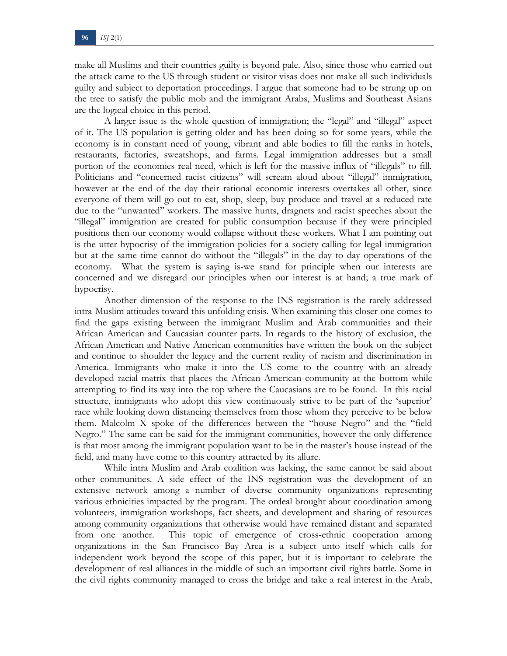make all Muslims and their countries guilty is beyond pale. Also, since those who carried out the attack came to the US through student or visitor visas does not make all such individuals guilty and subject to deportation proceedings. I argue that someone had to be strung up on the tree to satisfy the public mob and the immigrant Arabs, Muslims and Southeast Asians are the logical choice in this period.

A larger issue is the whole question of immigration; the "legal" and "illegal" aspect of it. The US population is getting older and has been doing so for some years, while the economy is in constant need of young, vibrant and able bodies to fill the ranks in hotels, restaurants, factories, sweatshops, and farms. Legal immigration addresses but a small portion of the economies real need, which is left for the massive influx of "illegals" to fill. Politicians and "concerned racist citizens" will scream aloud about "illegal" immigration, however at the end of the day their rational economic interests overtakes all other, since everyone of them will go out to eat, shop, sleep, buy produce and travel at a reduced rate due to the "unwanted" workers. The massive hunts, dragnets and racist speeches about the "illegal" immigration are created for public consumption because if they were principled positions then our economy would collapse without these workers. What I am pointing out is the utter hypocrisy of the immigration policies for a society calling for legal immigration but at the same time cannot do without the "illegals" in the day to day operations of the economy. What the system is saying is-we stand for principle when our interests are concerned and we disregard our principles when our interest is at hand; a true mark of hypocrisy.

Another dimension of the response to the INS registration is the rarely addressed intra-Muslim attitudes toward this unfolding crisis. When examining this closer one comes to find the gaps existing between the immigrant Muslim and Arab communities and their African American and Caucasian counter parts. In regards to the history of exclusion, the African American and Native American communities have written the book on the subject and continue to shoulder the legacy and the current reality of racism and discrimination in America. Immigrants who make it into the US come to the country with an already developed racial matrix that places the African American community at the bottom while attempting to find its way into the top where the Caucasians are to be found. In this racial structure, immigrants who adopt this view continuously strive to be part of the 'superior' race while looking down distancing themselves from those whom they perceive to be below them. Malcolm X spoke of the differences between the "house Negro" and the "field Negro." The same can be said for the immigrant communities, however the only difference is that most among the immigrant population want to be in the master's house instead of the field, and many have come to this country attracted by its allure.

While intra Muslim and Arab coalition was lacking, the same cannot be said about other communities. A side effect of the INS registration was the development of an extensive network among a number of diverse community organizations representing various ethnicities impacted by the program. The ordeal brought about coordination among volunteers, immigration workshops, fact sheets, and development and sharing of resources among community organizations that otherwise would have remained distant and separated from one another. This topic of emergence of cross-ethnic cooperation among organizations in the San Francisco Bay Area is a subject unto itself which calls for independent work beyond the scope of this paper, but it is important to celebrate the development of real alliances in the middle of such an important civil rights battle. Some in the civil rights community managed to cross the bridge and take a real interest in the Arab,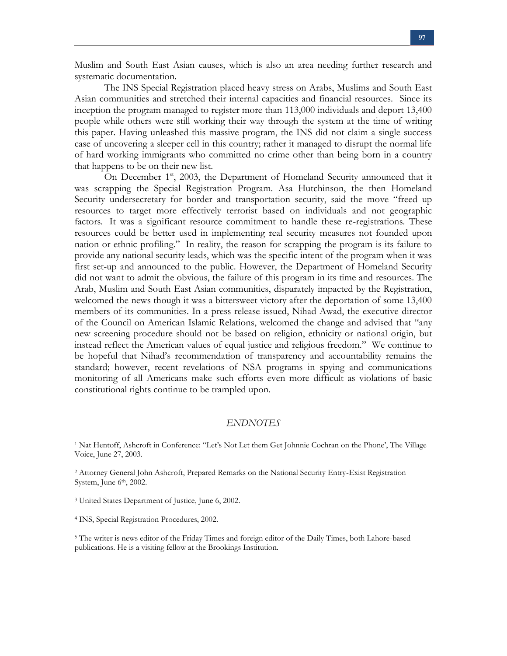Muslim and South East Asian causes, which is also an area needing further research and systematic documentation.

The INS Special Registration placed heavy stress on Arabs, Muslims and South East Asian communities and stretched their internal capacities and financial resources. Since its inception the program managed to register more than 113,000 individuals and deport 13,400 people while others were still working their way through the system at the time of writing this paper. Having unleashed this massive program, the INS did not claim a single success case of uncovering a sleeper cell in this country; rather it managed to disrupt the normal life of hard working immigrants who committed no crime other than being born in a country that happens to be on their new list.

On December 1<sup>st</sup>, 2003, the Department of Homeland Security announced that it was scrapping the Special Registration Program. Asa Hutchinson, the then Homeland Security undersecretary for border and transportation security, said the move "freed up resources to target more effectively terrorist based on individuals and not geographic factors. It was a significant resource commitment to handle these re-registrations. These resources could be better used in implementing real security measures not founded upon nation or ethnic profiling." In reality, the reason for scrapping the program is its failure to provide any national security leads, which was the specific intent of the program when it was first set-up and announced to the public. However, the Department of Homeland Security did not want to admit the obvious, the failure of this program in its time and resources. The Arab, Muslim and South East Asian communities, disparately impacted by the Registration, welcomed the news though it was a bittersweet victory after the deportation of some 13,400 members of its communities. In a press release issued, Nihad Awad, the executive director of the Council on American Islamic Relations, welcomed the change and advised that "any new screening procedure should not be based on religion, ethnicity or national origin, but instead reflect the American values of equal justice and religious freedom." We continue to be hopeful that Nihad's recommendation of transparency and accountability remains the standard; however, recent revelations of NSA programs in spying and communications monitoring of all Americans make such efforts even more difficult as violations of basic constitutional rights continue to be trampled upon.

#### *ENDNOTES*

<sup>1</sup> Nat Hentoff, Ashcroft in Conference: "Let's Not Let them Get Johnnie Cochran on the Phone', The Village Voice, June 27, 2003.

<sup>2</sup> Attorney General John Ashcroft, Prepared Remarks on the National Security Entry-Exist Registration System, June  $6<sup>th</sup>$ , 2002.

<sup>3</sup> United States Department of Justice, June 6, 2002.

<sup>4</sup> INS, Special Registration Procedures, 2002.

<sup>5</sup> The writer is news editor of the Friday Times and foreign editor of the Daily Times, both Lahore-based publications. He is a visiting fellow at the Brookings Institution.